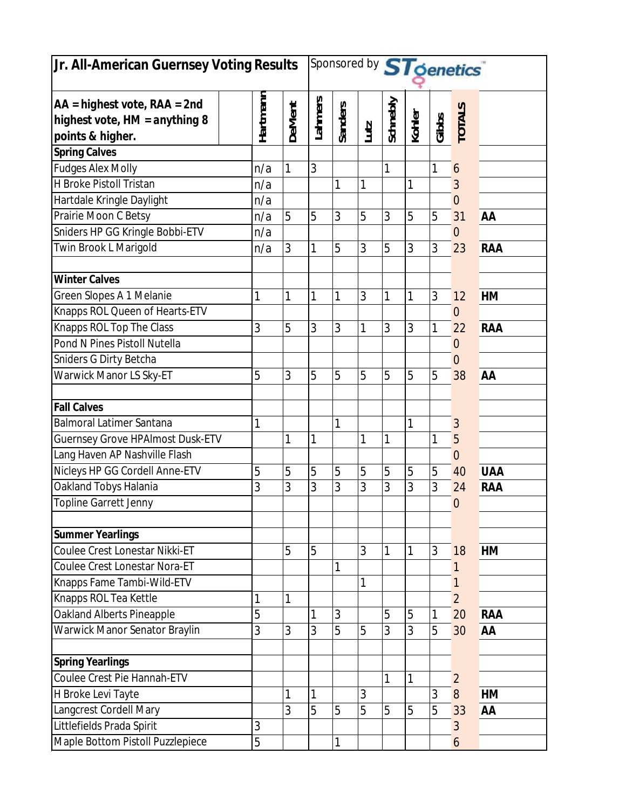| Jr. All-American Guernsey Voting Results                                            |          |               | Sponsored by <b>ST denetics</b> |         |      |          |        |       |                |            |
|-------------------------------------------------------------------------------------|----------|---------------|---------------------------------|---------|------|----------|--------|-------|----------------|------------|
| $AA = highest vote, RAA = 2nd$<br>highest vote, HM = anything 8<br>points & higher. | Hartmann | <b>DeMent</b> | Lahmers                         | Sanders | Lutz | Schnebly | Kohler | Gibbs | <b>TOTALS</b>  |            |
| <b>Spring Calves</b>                                                                |          |               |                                 |         |      |          |        |       |                |            |
| <b>Fudges Alex Molly</b>                                                            | n/a      | 1             | 3                               |         |      | 1        |        | 1     | 6              |            |
| H Broke Pistoll Tristan                                                             | n/a      |               |                                 | 1       | 1    |          | 1      |       | 3              |            |
| Hartdale Kringle Daylight                                                           | n/a      |               |                                 |         |      |          |        |       | $\overline{0}$ |            |
| Prairie Moon C Betsy                                                                | n/a      | 5             | 5                               | 3       | 5    | 3        | 5      | 5     | 31             | AA         |
| Sniders HP GG Kringle Bobbi-ETV                                                     | n/a      |               |                                 |         |      |          |        |       | $\overline{0}$ |            |
| Twin Brook L Marigold                                                               | n/a      | 3             | 1                               | 5       | 3    | 5        | 3      | 3     | 23             | <b>RAA</b> |
| <b>Winter Calves</b>                                                                |          |               |                                 |         |      |          |        |       |                |            |
| Green Slopes A 1 Melanie                                                            | 1        | 1             | 1                               | 1       | 3    | 1        | 1      | 3     | 12             | HM         |
| Knapps ROL Queen of Hearts-ETV                                                      |          |               |                                 |         |      |          |        |       | $\overline{0}$ |            |
| Knapps ROL Top The Class                                                            | 3        | 5             | 3                               | 3       | 1    | 3        | 3      | 1     | 22             | <b>RAA</b> |
| Pond N Pines Pistoll Nutella                                                        |          |               |                                 |         |      |          |        |       | $\overline{0}$ |            |
| Sniders G Dirty Betcha                                                              |          |               |                                 |         |      |          |        |       | $\overline{0}$ |            |
| Warwick Manor LS Sky-ET                                                             | 5        | 3             | 5                               | 5       | 5    | 5        | 5      | 5     | 38             | AA         |
| <b>Fall Calves</b>                                                                  |          |               |                                 |         |      |          |        |       |                |            |
| <b>Balmoral Latimer Santana</b>                                                     | 1        |               |                                 | 1       |      |          | 1      |       | $\mathfrak{Z}$ |            |
| <b>Guernsey Grove HPAImost Dusk-ETV</b>                                             |          | 1             | 1                               |         | 1    | 1        |        | 1     | 5              |            |
| Lang Haven AP Nashville Flash                                                       |          |               |                                 |         |      |          |        |       | $\overline{0}$ |            |
| Nicleys HP GG Cordell Anne-ETV                                                      | 5        | 5             | 5                               | 5       | 5    | 5        | 5      | 5     | 40             | <b>UAA</b> |
| Oakland Tobys Halania                                                               | 3        | 3             | 3                               | 3       | 3    | 3        | 3      | 3     | 24             | <b>RAA</b> |
| Topline Garrett Jenny                                                               |          |               |                                 |         |      |          |        |       | $\overline{0}$ |            |
| <b>Summer Yearlings</b>                                                             |          |               |                                 |         |      |          |        |       |                |            |
| Coulee Crest Lonestar Nikki-ET                                                      |          | 5             | 5                               |         | 3    |          | 1      | 3     | 18             | <b>HM</b>  |
| <b>Coulee Crest Lonestar Nora-ET</b>                                                |          |               |                                 | 1       |      |          |        |       |                |            |
| Knapps Fame Tambi-Wild-ETV                                                          |          |               |                                 |         |      |          |        |       |                |            |
| Knapps ROL Tea Kettle                                                               | 1        | 1             |                                 |         |      |          |        |       | $\overline{2}$ |            |
| Oakland Alberts Pineapple                                                           | 5        |               | 1                               | 3       |      | 5        | 5      | 1     | 20             | <b>RAA</b> |
| Warwick Manor Senator Braylin                                                       | 3        | 3             | 3                               | 5       | 5    | 3        | 3      | 5     | 30             | AA         |
| <b>Spring Yearlings</b>                                                             |          |               |                                 |         |      |          |        |       |                |            |
| Coulee Crest Pie Hannah-ETV                                                         |          |               |                                 |         |      | 1        | 1      |       | $\overline{2}$ |            |
| H Broke Levi Tayte                                                                  |          |               | 1                               |         | 3    |          |        | 3     | 8              | <b>HM</b>  |
| Langcrest Cordell Mary                                                              |          | 3             | 5                               | 5       | 5    | 5        | 5      | 5     | 33             | AA         |
| Littlefields Prada Spirit                                                           | 3        |               |                                 |         |      |          |        |       | 3              |            |
| Maple Bottom Pistoll Puzzlepiece                                                    | 5        |               |                                 | 1       |      |          |        |       | 6              |            |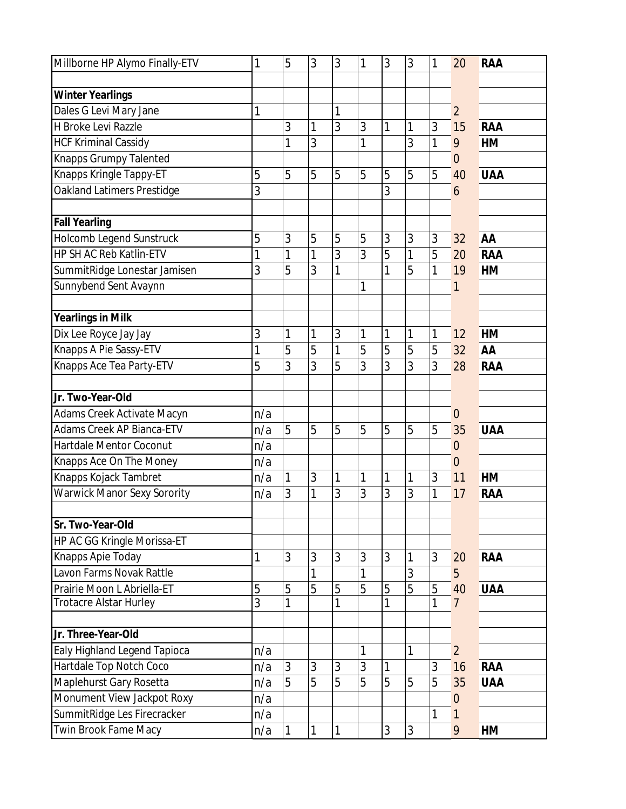| Millborne HP Alymo Finally-ETV                          | 1   | 5            | 3 | 3      | 1 | 3 | 3 | 1 | 20             | <b>RAA</b> |
|---------------------------------------------------------|-----|--------------|---|--------|---|---|---|---|----------------|------------|
|                                                         |     |              |   |        |   |   |   |   |                |            |
| <b>Winter Yearlings</b>                                 |     |              |   |        |   |   |   |   |                |            |
| Dales G Levi Mary Jane                                  | 1   |              |   | 1      |   |   |   |   | $\overline{2}$ |            |
| H Broke Levi Razzle                                     |     | 3            | 1 | 3      | 3 | 1 | 1 | 3 | 15             | <b>RAA</b> |
| <b>HCF Kriminal Cassidy</b>                             |     | 1            | 3 |        | 1 |   | 3 | 1 | 9              | HM         |
| Knapps Grumpy Talented                                  |     |              |   |        |   |   |   |   | $\overline{0}$ |            |
| Knapps Kringle Tappy-ET                                 | 5   | 5            | 5 | 5      | 5 | 5 | 5 | 5 | 40             | <b>UAA</b> |
| Oakland Latimers Prestidge                              | 3   |              |   |        |   | 3 |   |   | 6              |            |
|                                                         |     |              |   |        |   |   |   |   |                |            |
| <b>Fall Yearling</b>                                    |     |              |   |        |   |   |   |   |                |            |
| Holcomb Legend Sunstruck                                | 5   | 3            | 5 | 5      | 5 | 3 | 3 | 3 | 32             | AA         |
| HP SH AC Reb Katlin-ETV                                 | 1   | 1            | 1 | 3      | 3 | 5 | 1 | 5 | 20             | <b>RAA</b> |
| SummitRidge Lonestar Jamisen                            | 3   | 5            | 3 | 1      |   | 1 | 5 | 1 | 19             | HM         |
| Sunnybend Sent Avaynn                                   |     |              |   |        | 1 |   |   |   | 1              |            |
|                                                         |     |              |   |        |   |   |   |   |                |            |
| <b>Yearlings in Milk</b>                                |     |              |   |        |   |   |   |   |                |            |
| Dix Lee Royce Jay Jay                                   | 3   | 1            | 1 | 3      | 1 | 1 | 1 | 1 | 12             | <b>HM</b>  |
| Knapps A Pie Sassy-ETV                                  | 1   | 5            | 5 | 1      | 5 | 5 | 5 | 5 | 32             | AA         |
| Knapps Ace Tea Party-ETV                                | 5   | 3            | 3 | 5      | 3 | 3 | 3 | 3 | 28             | <b>RAA</b> |
|                                                         |     |              |   |        |   |   |   |   |                |            |
| Jr. Two-Year-Old                                        |     |              |   |        |   |   |   |   |                |            |
| Adams Creek Activate Macyn                              | n/a |              |   |        |   |   |   |   | $\mathbf{0}$   |            |
| <b>Adams Creek AP Bianca-ETV</b>                        | n/a | 5            | 5 | 5      | 5 | 5 | 5 | 5 | 35             | <b>UAA</b> |
| Hartdale Mentor Coconut                                 | n/a |              |   |        |   |   |   |   | $\mathbf{0}$   |            |
| Knapps Ace On The Money                                 | n/a |              |   |        |   |   |   |   | $\overline{0}$ |            |
| Knapps Kojack Tambret                                   | n/a | $\mathbf{1}$ | 3 | 1      | 1 | 1 | 1 | 3 | 11             | HM         |
| Warwick Manor Sexy Sorority                             | n/a | 3            | 1 | 3      | 3 | 3 | 3 | 1 | 17             | <b>RAA</b> |
|                                                         |     |              |   |        |   |   |   |   |                |            |
| Sr. Two-Year-Old                                        |     |              |   |        |   |   |   |   |                |            |
| HP AC GG Kringle Morissa-ET                             |     |              |   |        |   |   |   |   |                |            |
| Knapps Apie Today                                       | 1   | 3            | 3 | 3      | 3 | 3 | 1 | 3 | 20             | <b>RAA</b> |
| Lavon Farms Novak Rattle                                |     |              | 1 |        |   |   | 3 |   | 5              |            |
| Prairie Moon L Abriella-ET                              | 5   | 5            | 5 | 5      | 5 | 5 | 5 | 5 | 40             | <b>UAA</b> |
| <b>Trotacre Alstar Hurley</b>                           | 3   | 1            |   | 1      |   | 1 |   | 1 | $\overline{7}$ |            |
| Jr. Three-Year-Old                                      |     |              |   |        |   |   |   |   |                |            |
|                                                         |     |              |   |        |   |   |   |   |                |            |
| Ealy Highland Legend Tapioca<br>Hartdale Top Notch Coco | n/a | 3            | 3 |        | 3 |   | 1 | 3 | $\overline{2}$ |            |
|                                                         | n/a | 5            | 5 | 3<br>5 | 5 | 1 |   |   | 16             | <b>RAA</b> |
| Maplehurst Gary Rosetta                                 | n/a |              |   |        |   | 5 | 5 | 5 | 35             | <b>UAA</b> |
| Monument View Jackpot Roxy                              | n/a |              |   |        |   |   |   |   | $\overline{0}$ |            |
| SummitRidge Les Firecracker                             | n/a |              |   |        |   |   |   | 1 | 1              |            |
| <b>Twin Brook Fame Macy</b>                             | n/a | 1            | 1 | 1      |   | 3 | 3 |   | 9              | HM         |